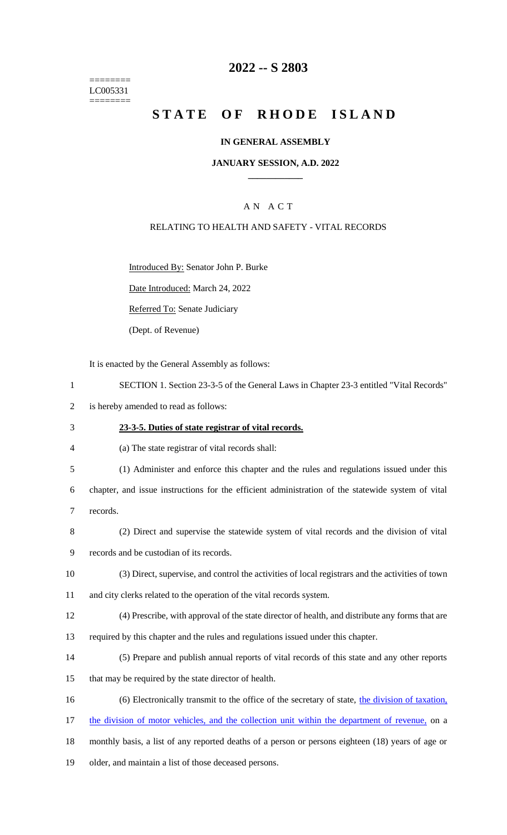======== LC005331 ========

## **2022 -- S 2803**

# **STATE OF RHODE ISLAND**

### **IN GENERAL ASSEMBLY**

### **JANUARY SESSION, A.D. 2022 \_\_\_\_\_\_\_\_\_\_\_\_**

## A N A C T

### RELATING TO HEALTH AND SAFETY - VITAL RECORDS

Introduced By: Senator John P. Burke

Date Introduced: March 24, 2022

Referred To: Senate Judiciary

(Dept. of Revenue)

It is enacted by the General Assembly as follows:

- 1 SECTION 1. Section 23-3-5 of the General Laws in Chapter 23-3 entitled "Vital Records"
- 2 is hereby amended to read as follows:

#### 3 **23-3-5. Duties of state registrar of vital records.**

4 (a) The state registrar of vital records shall:

5 (1) Administer and enforce this chapter and the rules and regulations issued under this

6 chapter, and issue instructions for the efficient administration of the statewide system of vital 7 records.

- 8 (2) Direct and supervise the statewide system of vital records and the division of vital
- 9 records and be custodian of its records.
- 10 (3) Direct, supervise, and control the activities of local registrars and the activities of town
- 11 and city clerks related to the operation of the vital records system.
- 12 (4) Prescribe, with approval of the state director of health, and distribute any forms that are
- 13 required by this chapter and the rules and regulations issued under this chapter.
- 14 (5) Prepare and publish annual reports of vital records of this state and any other reports
- 15 that may be required by the state director of health.
- 16 (6) Electronically transmit to the office of the secretary of state, the division of taxation,
- 17 the division of motor vehicles, and the collection unit within the department of revenue, on a
- 18 monthly basis, a list of any reported deaths of a person or persons eighteen (18) years of age or
- 19 older, and maintain a list of those deceased persons.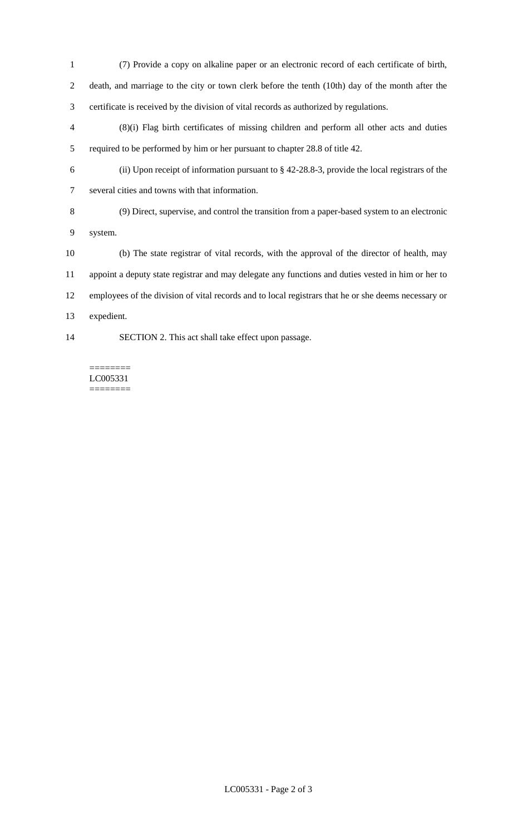- (7) Provide a copy on alkaline paper or an electronic record of each certificate of birth, death, and marriage to the city or town clerk before the tenth (10th) day of the month after the certificate is received by the division of vital records as authorized by regulations.
- (8)(i) Flag birth certificates of missing children and perform all other acts and duties required to be performed by him or her pursuant to chapter 28.8 of title 42.
- (ii) Upon receipt of information pursuant to § 42-28.8-3, provide the local registrars of the several cities and towns with that information.
- 

 (9) Direct, supervise, and control the transition from a paper-based system to an electronic system.

 (b) The state registrar of vital records, with the approval of the director of health, may appoint a deputy state registrar and may delegate any functions and duties vested in him or her to employees of the division of vital records and to local registrars that he or she deems necessary or expedient.

SECTION 2. This act shall take effect upon passage.

======== LC005331 ========